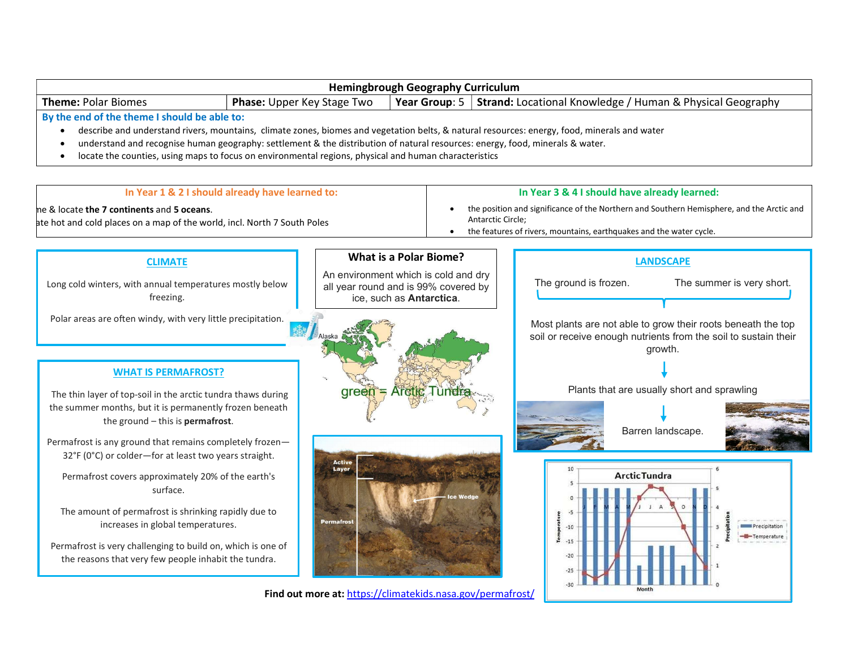| <b>Hemingbrough Geography Curriculum</b>                                                                                                                                                                                                                                                                                                                                                                                                                                                                                                                                                                                                                               |                                                                                                                                                                                                                                         |  |                       |                                                                                                                                                                                                                                                                         |  |
|------------------------------------------------------------------------------------------------------------------------------------------------------------------------------------------------------------------------------------------------------------------------------------------------------------------------------------------------------------------------------------------------------------------------------------------------------------------------------------------------------------------------------------------------------------------------------------------------------------------------------------------------------------------------|-----------------------------------------------------------------------------------------------------------------------------------------------------------------------------------------------------------------------------------------|--|-----------------------|-------------------------------------------------------------------------------------------------------------------------------------------------------------------------------------------------------------------------------------------------------------------------|--|
| <b>Theme: Polar Biomes</b><br>Phase: Upper Key Stage Two                                                                                                                                                                                                                                                                                                                                                                                                                                                                                                                                                                                                               |                                                                                                                                                                                                                                         |  |                       | <b>Year Group:</b> 5   Strand: Locational Knowledge / Human & Physical Geography                                                                                                                                                                                        |  |
| By the end of the theme I should be able to:<br>describe and understand rivers, mountains, climate zones, biomes and vegetation belts, & natural resources: energy, food, minerals and water<br>understand and recognise human geography: settlement & the distribution of natural resources: energy, food, minerals & water.<br>locate the counties, using maps to focus on environmental regions, physical and human characteristics<br>$\bullet$                                                                                                                                                                                                                    |                                                                                                                                                                                                                                         |  |                       |                                                                                                                                                                                                                                                                         |  |
| In Year 1 & 2 I should already have learned to:                                                                                                                                                                                                                                                                                                                                                                                                                                                                                                                                                                                                                        | In Year 3 & 4 I should have already learned:<br>the position and significance of the Northern and Southern Hemisphere, and the Arctic and<br>Antarctic Circle;<br>• the features of rivers, mountains, earthquakes and the water cycle. |  |                       |                                                                                                                                                                                                                                                                         |  |
| ne & locate the 7 continents and 5 oceans.<br>ate hot and cold places on a map of the world, incl. North 7 South Poles                                                                                                                                                                                                                                                                                                                                                                                                                                                                                                                                                 |                                                                                                                                                                                                                                         |  |                       |                                                                                                                                                                                                                                                                         |  |
| <b>CLIMATE</b>                                                                                                                                                                                                                                                                                                                                                                                                                                                                                                                                                                                                                                                         | <b>What is a Polar Biome?</b>                                                                                                                                                                                                           |  | <b>LANDSCAPE</b>      |                                                                                                                                                                                                                                                                         |  |
| Long cold winters, with annual temperatures mostly below<br>freezing.                                                                                                                                                                                                                                                                                                                                                                                                                                                                                                                                                                                                  | An environment which is cold and dry<br>all year round and is 99% covered by<br>ice, such as Antarctica.                                                                                                                                |  | The ground is frozen. | The summer is very short.                                                                                                                                                                                                                                               |  |
| Polar areas are often windy, with very little precipitation.<br><b>WHAT IS PERMAFROST?</b><br>The thin layer of top-soil in the arctic tundra thaws during<br>the summer months, but it is permanently frozen beneath<br>the ground $-$ this is permafrost.<br>Permafrost is any ground that remains completely frozen-<br>32°F (0°C) or colder-for at least two years straight.<br>Permafrost covers approximately 20% of the earth's<br>surface.<br>The amount of permafrost is shrinking rapidly due to<br>increases in global temperatures.<br>Permafrost is very challenging to build on, which is one of<br>the reasons that very few people inhabit the tundra. | green<br><b>S Arctic Tune</b><br>Active<br><b>Layer</b><br><b>Permafros</b>                                                                                                                                                             |  | $-10$<br>$-20$        | Most plants are not able to grow their roots beneath the top<br>soil or receive enough nutrients from the soil to sustain their<br>growth.<br>Plants that are usually short and sprawling<br>Barren landscape.<br><b>Arctic Tundra</b><br>Precipitation<br>-Temperature |  |
|                                                                                                                                                                                                                                                                                                                                                                                                                                                                                                                                                                                                                                                                        | Find out more at: https://climatekids.nasa.gov/permafrost/                                                                                                                                                                              |  |                       |                                                                                                                                                                                                                                                                         |  |
|                                                                                                                                                                                                                                                                                                                                                                                                                                                                                                                                                                                                                                                                        |                                                                                                                                                                                                                                         |  |                       |                                                                                                                                                                                                                                                                         |  |